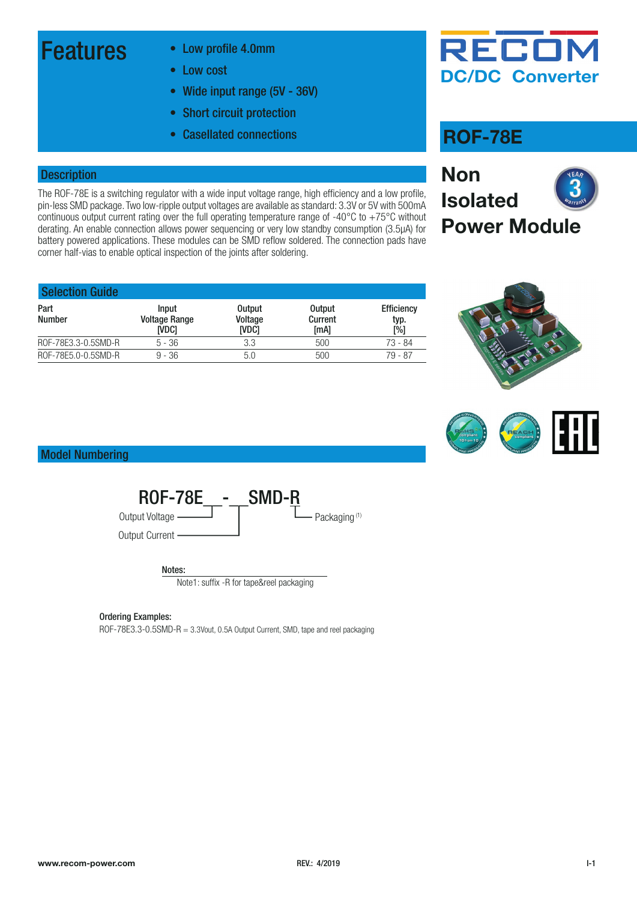### Features • Low profile 4.0mm

- 
- Low cost
- Wide input range (5V 36V)
- Short circuit protection
- Casellated connections **ROF-78E**

#### **Description**

The ROF-78E is a switching regulator with a wide input voltage range, high efficiency and a low profile, pin-less SMD package. Two low-ripple output voltages are available as standard: 3.3V or 5V with 500mA continuous output current rating over the full operating temperature range of -40°C to +75°C without derating. An enable connection allows power sequencing or very low standby consumption (3.5µA) for battery powered applications. These modules can be SMD reflow soldered. The connection pads have corner half-vias to enable optical inspection of the joints after soldering.

| <b>Selection Guide</b> |                                        |                                          |                                  |                                  |
|------------------------|----------------------------------------|------------------------------------------|----------------------------------|----------------------------------|
| Part<br><b>Number</b>  | Input<br><b>Voltage Range</b><br>ivdci | <b>Output</b><br>Voltage<br><b>IVDC1</b> | <b>Output</b><br>Current<br>[mA] | <b>Efficiency</b><br>typ.<br>[%] |
| ROF-78E3.3-0.5SMD-R    | $5 - 36$                               | 3.3                                      | 500                              | 73 - 84                          |
| ROF-78E5.0-0.5SMD-R    | $9 - 36$                               | 5.0                                      | 500                              | 79 - 87                          |



**DC/DC Converter**

RECOI



Model Numbering



#### Ordering Examples:

ROF-78E3.3-0.5SMD-R = 3.3Vout, 0.5A Output Current, SMD, tape and reel packaging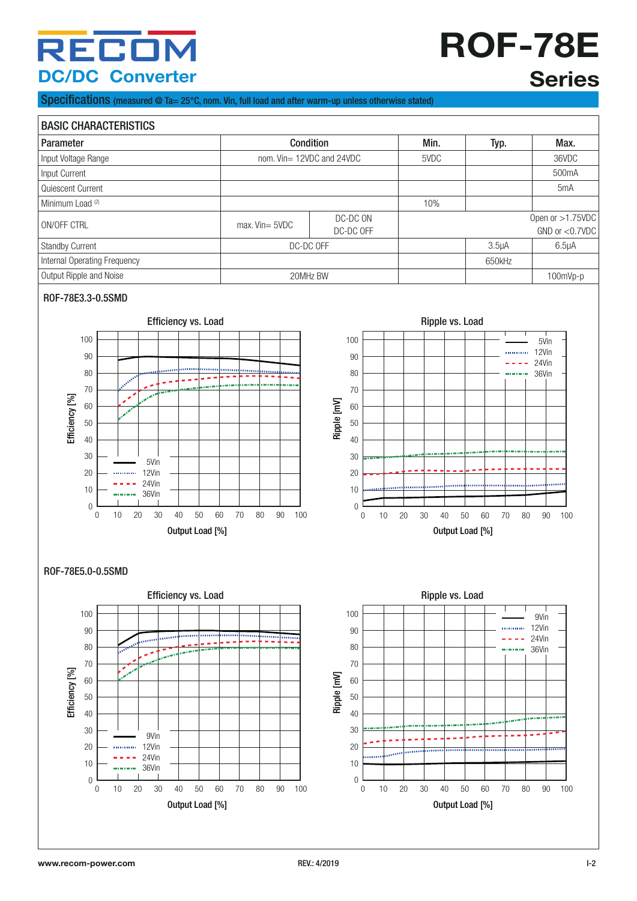## RECON **DC/DC Converter**

# **ROF-78E Series**

Specifications (measured @ Ta=  $25^{\circ}$ C, nom. Vin, full load and after warm-up unless otherwise stated)



#### ROF-78E3.3-0.5SMD





#### ROF-78E5.0-0.5SMD

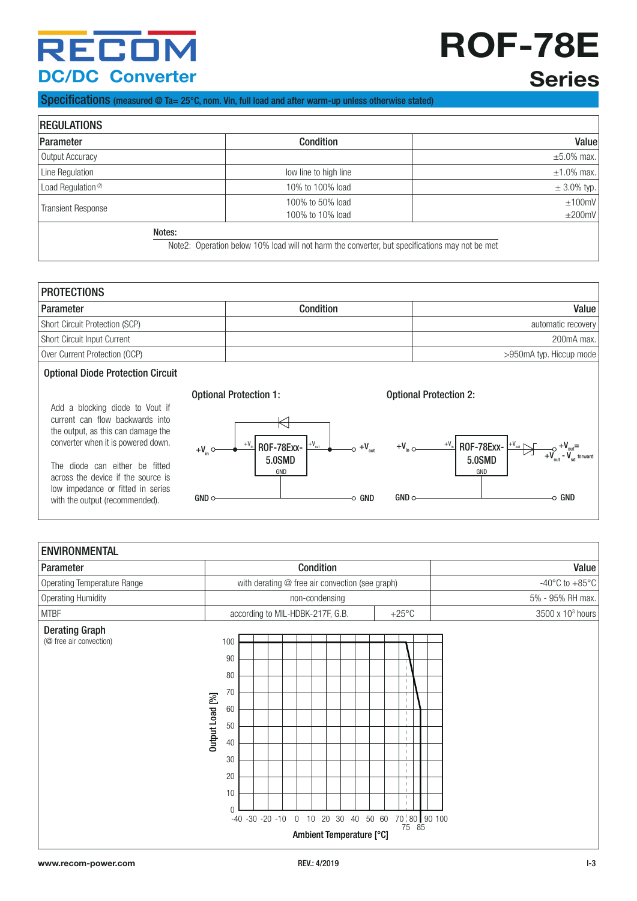## RECOM **DC/DC Converter**

# **ROF-78E**

### **Series**

 $+V_{\text{out}}=$ 

#### Specifications (measured @ Ta= 25°C, nom. Vin, full load and after warm-up unless otherwise stated)

| <b>REGULATIONS</b>             |                                                                                                |                  |  |
|--------------------------------|------------------------------------------------------------------------------------------------|------------------|--|
| Parameter                      | <b>Condition</b>                                                                               | Value            |  |
| Output Accuracy                |                                                                                                | $\pm 5.0\%$ max. |  |
| Line Regulation                | low line to high line                                                                          | $\pm 1.0\%$ max. |  |
| Load Regulation <sup>(2)</sup> | 10% to 100% load                                                                               | $\pm$ 3.0% typ.  |  |
| <b>Transient Response</b>      | 100% to 50% load<br>100% to 10% load                                                           | ±100mV<br>±200mV |  |
| Notes:                         | Note2: Operation below 10% load will not harm the converter, but specifications may not be met |                  |  |

| <b>PROTECTIONS</b>                       |           |                         |  |
|------------------------------------------|-----------|-------------------------|--|
| <b>Parameter</b>                         | Condition | Value                   |  |
| Short Circuit Protection (SCP)           |           | automatic recovery      |  |
| Short Circuit Input Current              |           | 200mA max.              |  |
| Over Current Protection (OCP)            |           | >950mA typ. Hiccup mode |  |
| <b>Optional Diode Protection Circuit</b> |           |                         |  |

#### Add a blocking diode to Vout if current can flow backwards into the output, as this can damage the converter when it is powered down.

The diode can either be fitted across the device if the source is low impedance or fitted in series with the output (recommended).

### Optional Protection 1: Optional Protection 2: K  $+V_{in}$



#### $+\frac{1}{2}$ 5.0SMD ENVIRONMENTAL Parameter **Condition** Condition **Condition** Condition **Condition** Condition **Value** Operating Temperature Range entitled and the vith derating @ free air convection (see graph) and the state of the 485°C to +85°C Operating Humidity **No. 2006** Strategies of the non-condensing **CONTENT STREET STREET STREET STREET STREET STREET STREET STREET STREET STREET STREET STREET STREET STREET STREET STREET STREET STREET STREET STREET STREET STR** MTBF  $\blacksquare$  according to MIL-HDBK-217F, G.B.  $+25^{\circ}$ C  $3500 \times 10^3$  hours Derating Graph 100 (@ free air convection) 90 80  $\frac{1}{1}$ 70 Output Load [%] Output Load [%]  $\frac{1}{1}$ 60  $\overline{\phantom{a}}$ 50  $\frac{1}{2}$ 40  $\overline{1}$ 30  $\frac{1}{1}$ 20 -i 10  $\frac{1}{1}$ 0<br> $-40 -30 -20 -10$  $-40 -30 -20 -10 = 0$  10 20 30 40 50 60 70 80 90 100 75 85 Ambient Temperature [°C]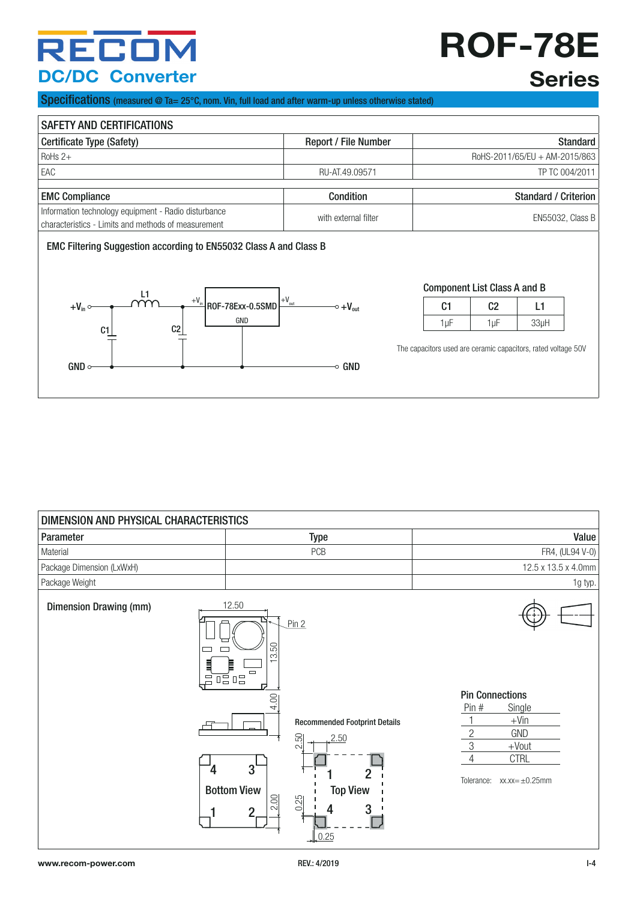## RECOI **DC/DC Converter**

# **ROF-78E**

### **Series**

Specifications (measured @ Ta= 25°C, nom. Vin, full load and after warm-up unless otherwise stated)

| <b>SAFETY AND CERTIFICATIONS</b>                                                                            |                             |                               |  |
|-------------------------------------------------------------------------------------------------------------|-----------------------------|-------------------------------|--|
| Certificate Type (Safety)                                                                                   | <b>Report / File Number</b> | <b>Standard</b>               |  |
| $RoHs 2+$                                                                                                   |                             | RoHS-2011/65/EU + AM-2015/863 |  |
| EAC                                                                                                         | RU-AT.49.09571              | TP TC 004/2011                |  |
|                                                                                                             |                             |                               |  |
| <b>EMC Compliance</b>                                                                                       | <b>Condition</b>            | <b>Standard / Criterion</b>   |  |
|                                                                                                             |                             |                               |  |
| Information technology equipment - Radio disturbance<br>characteristics - Limits and methods of measurement | with external filter        | <b>EN55032, Class B</b>       |  |



| <b>Component List Class A and B</b> |    |  |  |
|-------------------------------------|----|--|--|
| C1                                  | C. |  |  |

The capacitors used are ceramic capacitors, rated voltage 50V

1µF 1µF 33µH

| DIMENSION AND PHYSICAL CHARACTERISTICS |                                                                                                                                                                                                                               |                                                                                                                                                                     |
|----------------------------------------|-------------------------------------------------------------------------------------------------------------------------------------------------------------------------------------------------------------------------------|---------------------------------------------------------------------------------------------------------------------------------------------------------------------|
| Parameter                              | <b>Type</b>                                                                                                                                                                                                                   | Value                                                                                                                                                               |
| Material                               | PCB                                                                                                                                                                                                                           | FR4, (UL94 V-0)                                                                                                                                                     |
| Package Dimension (LxWxH)              |                                                                                                                                                                                                                               | 12.5 x 13.5 x 4.0mm                                                                                                                                                 |
| Package Weight                         |                                                                                                                                                                                                                               | 1g typ.                                                                                                                                                             |
| <b>Dimension Drawing (mm)</b>          | 12.50<br>Pin 2<br>3.50<br>틬<br>E<br>$\Box$<br>唔唱<br>Ō.<br>ᇋ<br>4.00<br><b>Recommended Footprint Details</b><br>2.50<br>2.50<br>3<br>4<br><b>Top View</b><br><b>Bottom View</b><br>2.00<br>0.25<br>3<br>$\overline{2}$<br>0.25 | <b>Pin Connections</b><br>Pin #<br>Single<br>$+V$ in<br>$\mathbf{2}$<br>GND<br>$\mathfrak{S}$<br>$+$ Vout<br><b>CTRL</b><br>4<br>Tolerance:<br>$xx.xx = \pm 0.25mm$ |